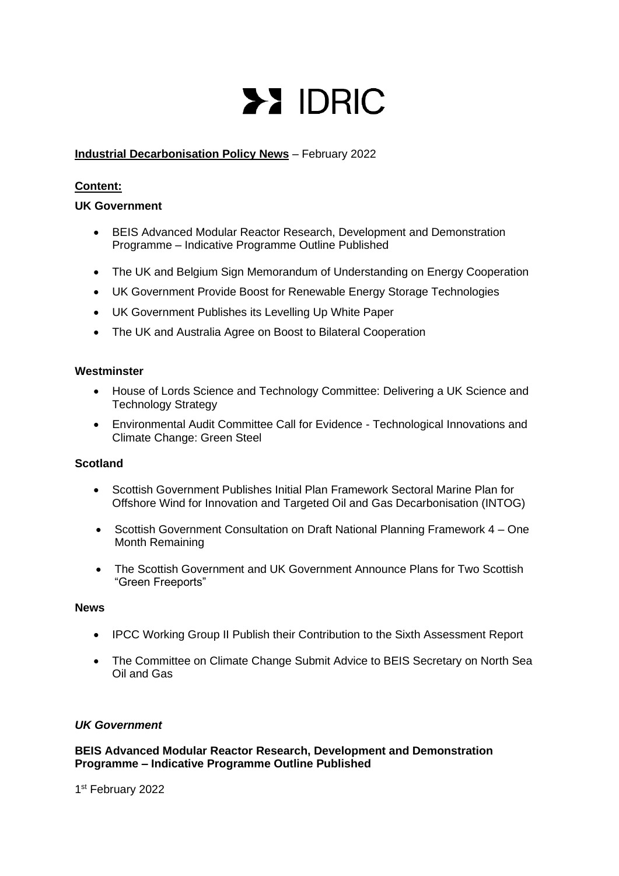# **>> IDRIC**

# **Industrial Decarbonisation Policy News** – February 2022

# **Content:**

## **UK Government**

- BEIS Advanced Modular Reactor Research, Development and Demonstration Programme – Indicative Programme Outline Published
- The UK and Belgium Sign Memorandum of Understanding on Energy Cooperation
- UK Government Provide Boost for Renewable Energy Storage Technologies
- UK Government Publishes its Levelling Up White Paper
- The UK and Australia Agree on Boost to Bilateral Cooperation

#### **Westminster**

- House of Lords Science and Technology Committee: Delivering a UK Science and Technology Strategy
- Environmental Audit Committee Call for Evidence Technological Innovations and Climate Change: Green Steel

# **Scotland**

- Scottish Government Publishes Initial Plan Framework Sectoral Marine Plan for Offshore Wind for Innovation and Targeted Oil and Gas Decarbonisation (INTOG)
- Scottish Government Consultation on Draft National Planning Framework 4 One Month Remaining
- The Scottish Government and UK Government Announce Plans for Two Scottish "Green Freeports"

#### **News**

- IPCC Working Group II Publish their Contribution to the Sixth Assessment Report
- The Committee on Climate Change Submit Advice to BEIS Secretary on North Sea Oil and Gas

## *UK Government*

**BEIS Advanced Modular Reactor Research, Development and Demonstration Programme – Indicative Programme Outline Published**

1st February 2022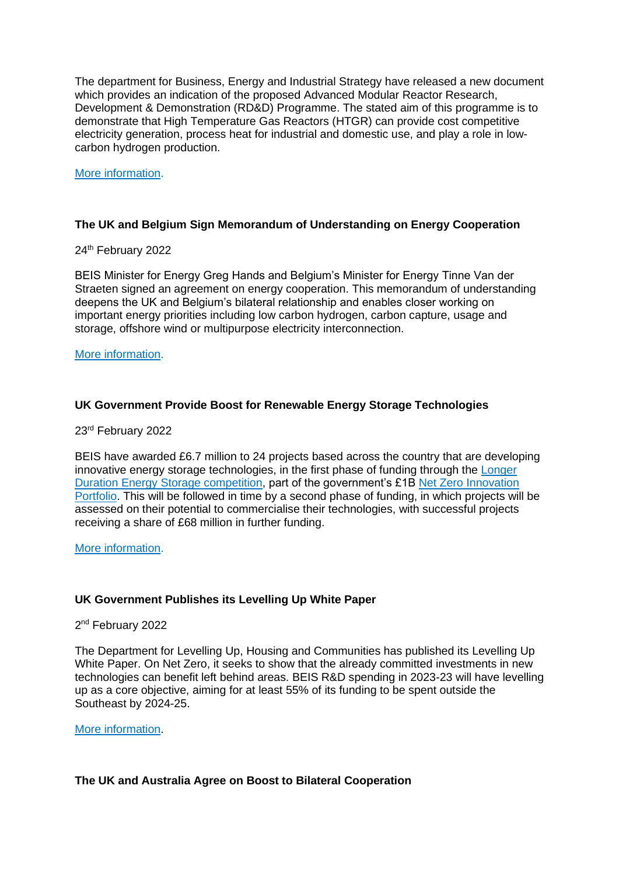The department for Business, Energy and Industrial Strategy have released a new document which provides an indication of the proposed Advanced Modular Reactor Research, Development & Demonstration (RD&D) Programme. The stated aim of this programme is to demonstrate that High Temperature Gas Reactors (HTGR) can provide cost competitive electricity generation, process heat for industrial and domestic use, and play a role in lowcarbon hydrogen production.

#### [More information.](https://assets.publishing.service.gov.uk/government/uploads/system/uploads/attachment_data/file/1055241/amr-demo-programme-indicative-outline.pdf)

#### **The UK and Belgium Sign Memorandum of Understanding on Energy Cooperation**

#### 24<sup>th</sup> February 2022

BEIS Minister for Energy Greg Hands and Belgium's Minister for Energy Tinne Van der Straeten signed an agreement on energy cooperation. This memorandum of understanding deepens the UK and Belgium's bilateral relationship and enables closer working on important energy priorities including low carbon hydrogen, carbon capture, usage and storage, offshore wind or multipurpose electricity interconnection.

#### [More information.](https://www.gov.uk/government/news/uk-and-belgium-sign-memorandum-of-understanding-mou-on-energy-cooperation?utm_medium=email&utm_campaign=govuk-notifications-topic&utm_source=39c2e0a0-b324-4042-91da-6cf2d48348df&utm_content=immediately)

## **UK Government Provide Boost for Renewable Energy Storage Technologies**

## 23rd February 2022

BEIS have awarded £6.7 million to 24 projects based across the country that are developing innovative energy storage technologies, in the first phase of funding through the [Longer](https://www.gov.uk/government/publications/longer-duration-energy-storage-demonstration-programme-successful-projects)  [Duration Energy Storage competition,](https://www.gov.uk/government/publications/longer-duration-energy-storage-demonstration-programme-successful-projects) part of the government's £1B [Net Zero Innovation](https://www.gov.uk/government/collections/net-zero-innovation-portfolio)  [Portfolio.](https://www.gov.uk/government/collections/net-zero-innovation-portfolio) This will be followed in time by a second phase of funding, in which projects will be assessed on their potential to commercialise their technologies, with successful projects receiving a share of £68 million in further funding.

[More information.](https://www.gov.uk/government/news/government-boost-for-new-renewable-energy-storage-technologies?utm_medium=email&utm_campaign=govuk-notifications-topic&utm_source=53691a23-ddea-4cb0-83d9-95f86fdb96f0&utm_content=daily)

## **UK Government Publishes its Levelling Up White Paper**

2<sup>nd</sup> February 2022

The Department for Levelling Up, Housing and Communities has published its Levelling Up White Paper. On Net Zero, it seeks to show that the already committed investments in new technologies can benefit left behind areas. BEIS R&D spending in 2023-23 will have levelling up as a core objective, aiming for at least 55% of its funding to be spent outside the Southeast by 2024-25.

#### [More information.](https://www.gov.uk/government/publications/levelling-up-the-united-kingdom)

## **The UK and Australia Agree on Boost to Bilateral Cooperation**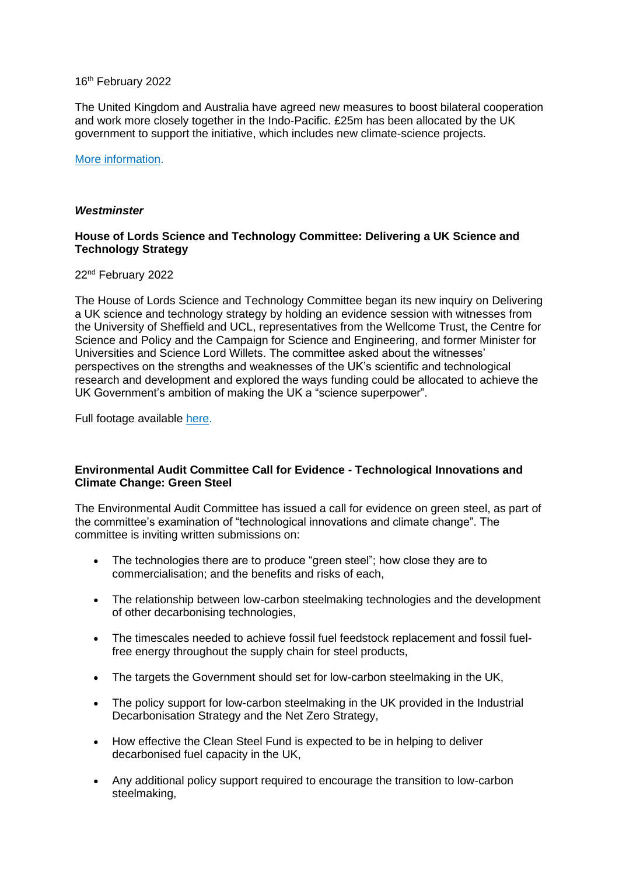#### 16<sup>th</sup> February 2022

The United Kingdom and Australia have agreed new measures to boost bilateral cooperation and work more closely together in the Indo-Pacific. £25m has been allocated by the UK government to support the initiative, which includes new climate-science projects.

#### [More information.](https://www.gov.uk/government/news/pm-to-boost-historic-uk-australia-partnership)

#### *Westminster*

## **House of Lords Science and Technology Committee: Delivering a UK Science and Technology Strategy**

#### 22nd February 2022

The House of Lords Science and Technology Committee began its new inquiry on Delivering a UK science and technology strategy by holding an evidence session with witnesses from the University of Sheffield and UCL, representatives from the Wellcome Trust, the Centre for Science and Policy and the Campaign for Science and Engineering, and former Minister for Universities and Science Lord Willets. The committee asked about the witnesses' perspectives on the strengths and weaknesses of the UK's scientific and technological research and development and explored the ways funding could be allocated to achieve the UK Government's ambition of making the UK a "science superpower".

Full footage available [here.](https://parliamentlive.tv/event/index/04815e9b-12bb-4ff7-b4e6-a92edb6c2eaf)

## **Environmental Audit Committee Call for Evidence - Technological Innovations and Climate Change: Green Steel**

The Environmental Audit Committee has issued a call for evidence on green steel, as part of the committee's examination of "technological innovations and climate change". The committee is inviting written submissions on:

- The technologies there are to produce "green steel"; how close they are to commercialisation; and the benefits and risks of each,
- The relationship between low-carbon steelmaking technologies and the development of other decarbonising technologies,
- The timescales needed to achieve fossil fuel feedstock replacement and fossil fuelfree energy throughout the supply chain for steel products,
- The targets the Government should set for low-carbon steelmaking in the UK,
- The policy support for low-carbon steelmaking in the UK provided in the Industrial Decarbonisation Strategy and the Net Zero Strategy,
- How effective the Clean Steel Fund is expected to be in helping to deliver decarbonised fuel capacity in the UK,
- Any additional policy support required to encourage the transition to low-carbon steelmaking,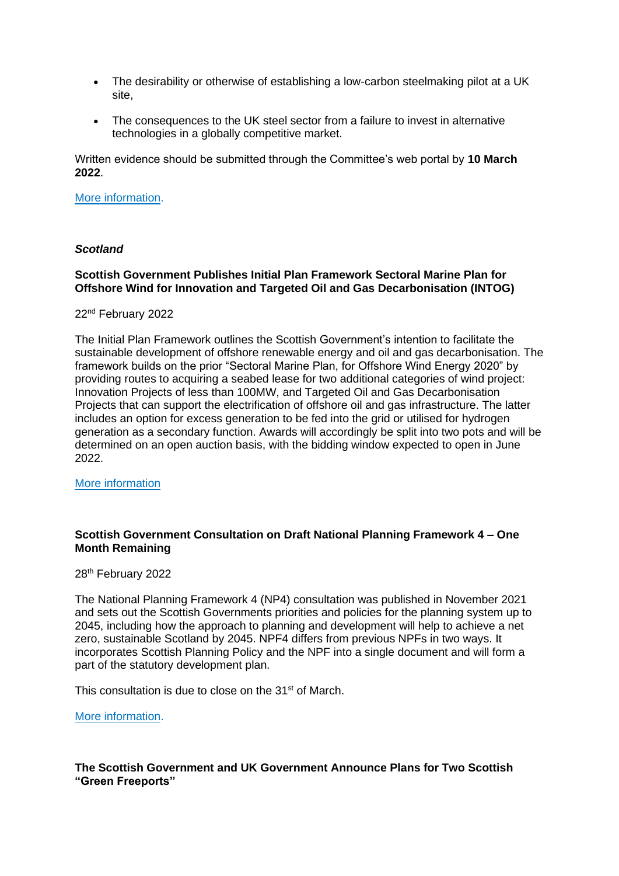- The desirability or otherwise of establishing a low-carbon steelmaking pilot at a UK site,
- The consequences to the UK steel sector from a failure to invest in alternative technologies in a globally competitive market.

Written evidence should be submitted through the Committee's web portal by **10 March 2022**.

#### [More information.](https://committees.parliament.uk/call-for-evidence/720/)

#### *Scotland*

## **Scottish Government Publishes Initial Plan Framework Sectoral Marine Plan for Offshore Wind for Innovation and Targeted Oil and Gas Decarbonisation (INTOG)**

#### 22nd February 2022

The Initial Plan Framework outlines the Scottish Government's intention to facilitate the sustainable development of offshore renewable energy and oil and gas decarbonisation. The framework builds on the prior "Sectoral Marine Plan, for Offshore Wind Energy 2020" by providing routes to acquiring a seabed lease for two additional categories of wind project: Innovation Projects of less than 100MW, and Targeted Oil and Gas Decarbonisation Projects that can support the electrification of offshore oil and gas infrastructure. The latter includes an option for excess generation to be fed into the grid or utilised for hydrogen generation as a secondary function. Awards will accordingly be split into two pots and will be determined on an open auction basis, with the bidding window expected to open in June 2022.

[More information](https://www.gov.scot/publications/initial-plan-framework-sectoral-marine-plan-offshore-wind-innovation-targeted-oil-gas-decarbonisation-intog/)

#### **Scottish Government Consultation on Draft National Planning Framework 4 – One Month Remaining**

28<sup>th</sup> February 2022

The National Planning Framework 4 (NP4) consultation was published in November 2021 and sets out the Scottish Governments priorities and policies for the planning system up to 2045, including how the approach to planning and development will help to achieve a net zero, sustainable Scotland by 2045. NPF4 differs from previous NPFs in two ways. It incorporates Scottish Planning Policy and the NPF into a single document and will form a part of the statutory development plan.

This consultation is due to close on the 31<sup>st</sup> of March.

[More information.](https://consult.gov.scot/local-government-and-communities/draft-national-planning-framework-4/)

**The Scottish Government and UK Government Announce Plans for Two Scottish "Green Freeports"**